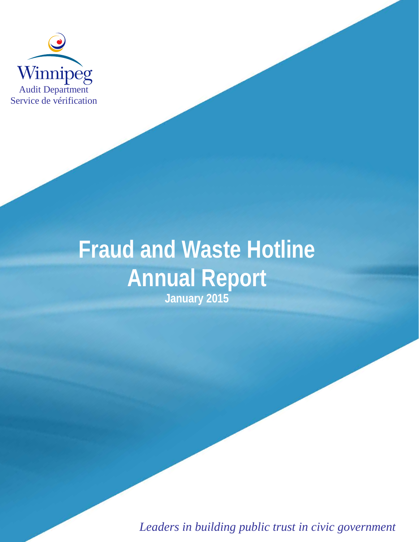

# **Fraud and Waste Hotline Annual Report January 2015**

*Leaders in building public trust in civic government*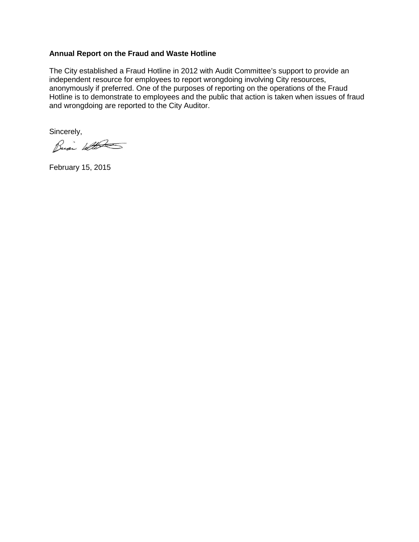#### **Annual Report on the Fraud and Waste Hotline**

The City established a Fraud Hotline in 2012 with Audit Committee's support to provide an independent resource for employees to report wrongdoing involving City resources, anonymously if preferred. One of the purposes of reporting on the operations of the Fraud Hotline is to demonstrate to employees and the public that action is taken when issues of fraud and wrongdoing are reported to the City Auditor.

Sincerely,

Busi With

February 15, 2015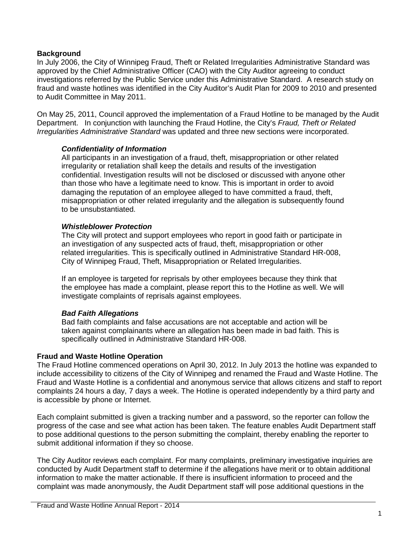## **Background**

In July 2006, the City of Winnipeg Fraud, Theft or Related Irregularities Administrative Standard was approved by the Chief Administrative Officer (CAO) with the City Auditor agreeing to conduct investigations referred by the Public Service under this Administrative Standard. A research study on fraud and waste hotlines was identified in the City Auditor's Audit Plan for 2009 to 2010 and presented to Audit Committee in May 2011.

On May 25, 2011, Council approved the implementation of a Fraud Hotline to be managed by the Audit Department. In conjunction with launching the Fraud Hotline, the City's *Fraud, Theft or Related Irregularities Administrative Standard* was updated and three new sections were incorporated.

#### *Confidentiality of Information*

All participants in an investigation of a fraud, theft, misappropriation or other related irregularity or retaliation shall keep the details and results of the investigation confidential. Investigation results will not be disclosed or discussed with anyone other than those who have a legitimate need to know. This is important in order to avoid damaging the reputation of an employee alleged to have committed a fraud, theft, misappropriation or other related irregularity and the allegation is subsequently found to be unsubstantiated.

#### *Whistleblower Protection*

The City will protect and support employees who report in good faith or participate in an investigation of any suspected acts of fraud, theft, misappropriation or other related irregularities. This is specifically outlined in Administrative Standard HR-008, City of Winnipeg Fraud, Theft, Misappropriation or Related Irregularities.

If an employee is targeted for reprisals by other employees because they think that the employee has made a complaint, please report this to the Hotline as well. We will investigate complaints of reprisals against employees.

#### *Bad Faith Allegations*

Bad faith complaints and false accusations are not acceptable and action will be taken against complainants where an allegation has been made in bad faith. This is specifically outlined in Administrative Standard HR-008.

#### **Fraud and Waste Hotline Operation**

The Fraud Hotline commenced operations on April 30, 2012. In July 2013 the hotline was expanded to include accessibility to citizens of the City of Winnipeg and renamed the Fraud and Waste Hotline. The Fraud and Waste Hotline is a confidential and anonymous service that allows citizens and staff to report complaints 24 hours a day, 7 days a week. The Hotline is operated independently by a third party and is accessible by phone or Internet.

Each complaint submitted is given a tracking number and a password, so the reporter can follow the progress of the case and see what action has been taken. The feature enables Audit Department staff to pose additional questions to the person submitting the complaint, thereby enabling the reporter to submit additional information if they so choose.

The City Auditor reviews each complaint. For many complaints, preliminary investigative inquiries are conducted by Audit Department staff to determine if the allegations have merit or to obtain additional information to make the matter actionable. If there is insufficient information to proceed and the complaint was made anonymously, the Audit Department staff will pose additional questions in the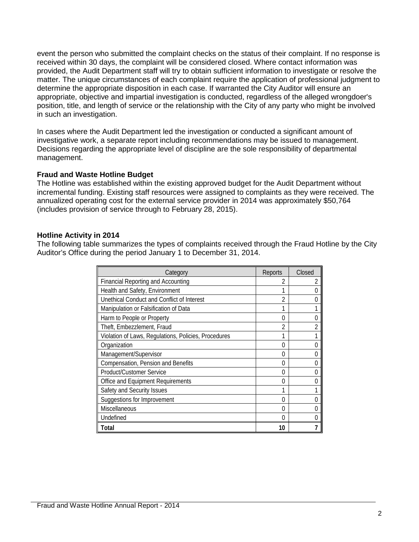event the person who submitted the complaint checks on the status of their complaint. If no response is received within 30 days, the complaint will be considered closed. Where contact information was provided, the Audit Department staff will try to obtain sufficient information to investigate or resolve the matter. The unique circumstances of each complaint require the application of professional judgment to determine the appropriate disposition in each case. If warranted the City Auditor will ensure an appropriate, objective and impartial investigation is conducted, regardless of the alleged wrongdoer's position, title, and length of service or the relationship with the City of any party who might be involved in such an investigation.

In cases where the Audit Department led the investigation or conducted a significant amount of investigative work, a separate report including recommendations may be issued to management. Decisions regarding the appropriate level of discipline are the sole responsibility of departmental management.

#### **Fraud and Waste Hotline Budget**

The Hotline was established within the existing approved budget for the Audit Department without incremental funding. Existing staff resources were assigned to complaints as they were received. The annualized operating cost for the external service provider in 2014 was approximately \$50,764 (includes provision of service through to February 28, 2015).

#### **Hotline Activity in 2014**

The following table summarizes the types of complaints received through the Fraud Hotline by the City Auditor's Office during the period January 1 to December 31, 2014.

| Category                                             | Reports | Closed |
|------------------------------------------------------|---------|--------|
| <b>Financial Reporting and Accounting</b>            | 2       |        |
| Health and Safety, Environment                       |         |        |
| Unethical Conduct and Conflict of Interest           | 2       |        |
| Manipulation or Falsification of Data                | 1       |        |
| Harm to People or Property                           | 0       |        |
| Theft, Embezzlement, Fraud                           | 2       |        |
| Violation of Laws, Regulations, Policies, Procedures |         |        |
| Organization                                         | 0       |        |
| Management/Supervisor                                | 0       |        |
| Compensation, Pension and Benefits                   | 0       |        |
| <b>Product/Customer Service</b>                      | 0       |        |
| Office and Equipment Requirements                    | 0       |        |
| Safety and Security Issues                           | 1       |        |
| Suggestions for Improvement                          | 0       |        |
| Miscellaneous                                        | 0       |        |
| Undefined                                            | 0       |        |
| Total                                                | 10      |        |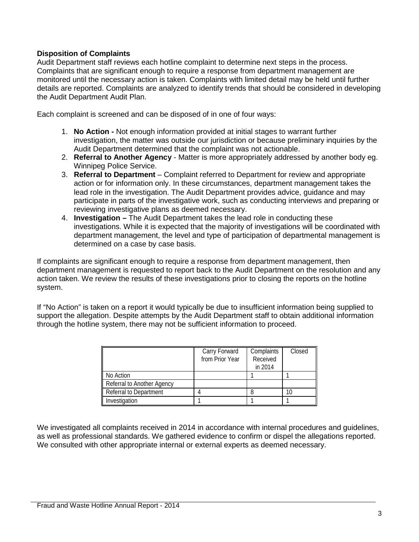# **Disposition of Complaints**

Audit Department staff reviews each hotline complaint to determine next steps in the process. Complaints that are significant enough to require a response from department management are monitored until the necessary action is taken. Complaints with limited detail may be held until further details are reported. Complaints are analyzed to identify trends that should be considered in developing the Audit Department Audit Plan.

Each complaint is screened and can be disposed of in one of four ways:

- 1. **No Action -** Not enough information provided at initial stages to warrant further investigation, the matter was outside our jurisdiction or because preliminary inquiries by the Audit Department determined that the complaint was not actionable.
- 2. **Referral to Another Agency** Matter is more appropriately addressed by another body eg. Winnipeg Police Service.
- 3. **Referral to Department** Complaint referred to Department for review and appropriate action or for information only. In these circumstances, department management takes the lead role in the investigation. The Audit Department provides advice, guidance and may participate in parts of the investigative work, such as conducting interviews and preparing or reviewing investigative plans as deemed necessary.
- 4. **Investigation –** The Audit Department takes the lead role in conducting these investigations. While it is expected that the majority of investigations will be coordinated with department management, the level and type of participation of departmental management is determined on a case by case basis.

If complaints are significant enough to require a response from department management, then department management is requested to report back to the Audit Department on the resolution and any action taken. We review the results of these investigations prior to closing the reports on the hotline system.

If "No Action" is taken on a report it would typically be due to insufficient information being supplied to support the allegation. Despite attempts by the Audit Department staff to obtain additional information through the hotline system, there may not be sufficient information to proceed.

|                            | Carry Forward<br>from Prior Year | Complaints<br>Received<br>in 2014 | Closed |
|----------------------------|----------------------------------|-----------------------------------|--------|
| No Action                  |                                  |                                   |        |
| Referral to Another Agency |                                  |                                   |        |
| Referral to Department     |                                  |                                   |        |
| Investigation              |                                  |                                   |        |

We investigated all complaints received in 2014 in accordance with internal procedures and guidelines, as well as professional standards. We gathered evidence to confirm or dispel the allegations reported. We consulted with other appropriate internal or external experts as deemed necessary.